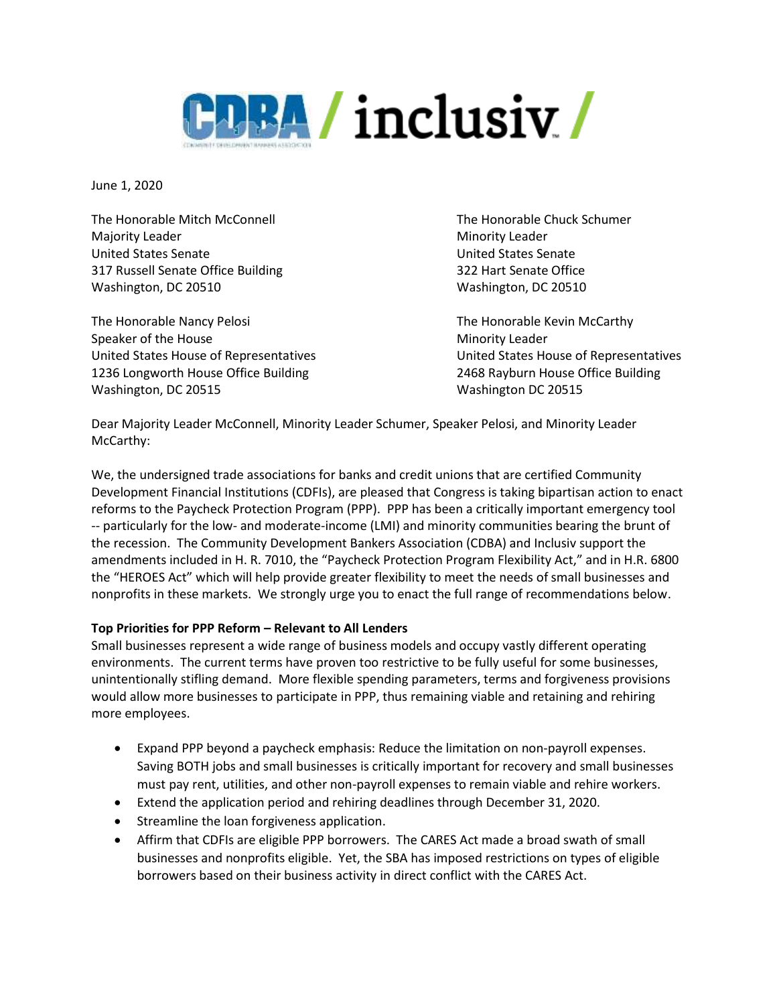

June 1, 2020

The Honorable Mitch McConnell The Honorable Chuck Schumer Majority Leader **Minority Leader** Minority Leader United States Senate United States Senate 317 Russell Senate Office Building 322 Hart Senate Office Washington, DC 20510 Washington, DC 20510

The Honorable Nancy Pelosi **The Honorable Kevin McCarthy** Speaker of the House Minority Leader Minority Leader 1236 Longworth House Office Building 2468 Rayburn House Office Building Washington, DC 20515 Washington DC 20515

United States House of Representatives United States House of Representatives

Dear Majority Leader McConnell, Minority Leader Schumer, Speaker Pelosi, and Minority Leader McCarthy:

We, the undersigned trade associations for banks and credit unions that are certified Community Development Financial Institutions (CDFIs), are pleased that Congress is taking bipartisan action to enact reforms to the Paycheck Protection Program (PPP). PPP has been a critically important emergency tool -- particularly for the low- and moderate-income (LMI) and minority communities bearing the brunt of the recession. The Community Development Bankers Association (CDBA) and Inclusiv support the amendments included in H. R. 7010, the "Paycheck Protection Program Flexibility Act," and in H.R. 6800 the "HEROES Act" which will help provide greater flexibility to meet the needs of small businesses and nonprofits in these markets. We strongly urge you to enact the full range of recommendations below.

## **Top Priorities for PPP Reform – Relevant to All Lenders**

Small businesses represent a wide range of business models and occupy vastly different operating environments. The current terms have proven too restrictive to be fully useful for some businesses, unintentionally stifling demand. More flexible spending parameters, terms and forgiveness provisions would allow more businesses to participate in PPP, thus remaining viable and retaining and rehiring more employees.

- Expand PPP beyond a paycheck emphasis: Reduce the limitation on non-payroll expenses. Saving BOTH jobs and small businesses is critically important for recovery and small businesses must pay rent, utilities, and other non-payroll expenses to remain viable and rehire workers.
- Extend the application period and rehiring deadlines through December 31, 2020.
- Streamline the loan forgiveness application.
- Affirm that CDFIs are eligible PPP borrowers. The CARES Act made a broad swath of small businesses and nonprofits eligible. Yet, the SBA has imposed restrictions on types of eligible borrowers based on their business activity in direct conflict with the CARES Act.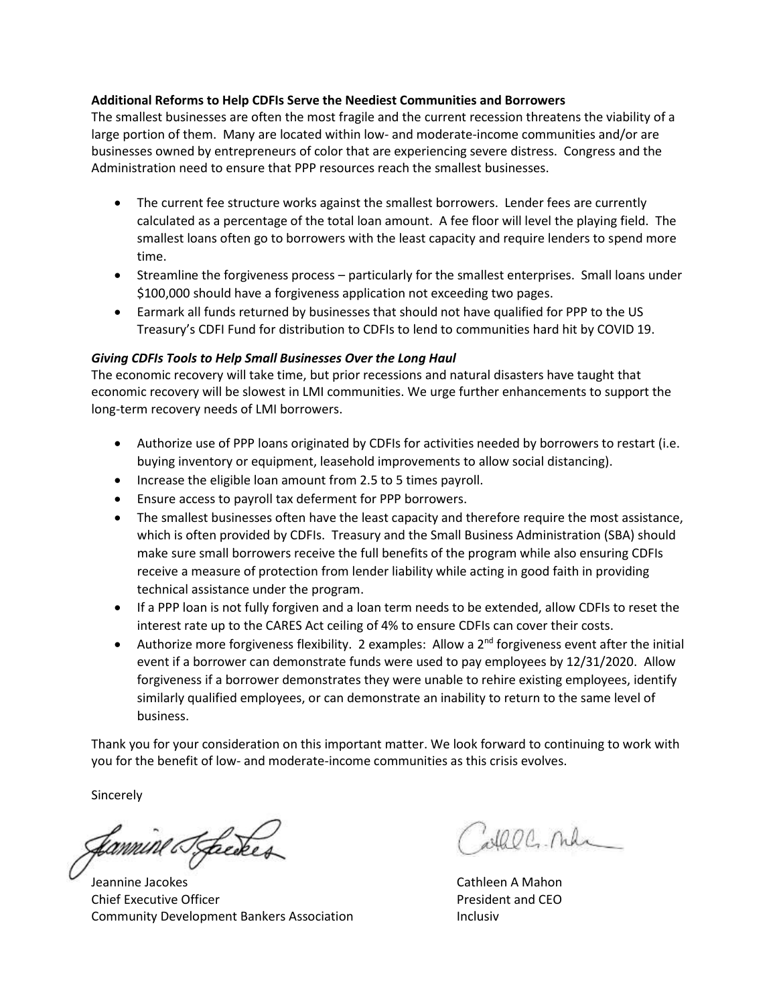## **Additional Reforms to Help CDFIs Serve the Neediest Communities and Borrowers**

The smallest businesses are often the most fragile and the current recession threatens the viability of a large portion of them. Many are located within low- and moderate-income communities and/or are businesses owned by entrepreneurs of color that are experiencing severe distress. Congress and the Administration need to ensure that PPP resources reach the smallest businesses.

- The current fee structure works against the smallest borrowers. Lender fees are currently calculated as a percentage of the total loan amount. A fee floor will level the playing field. The smallest loans often go to borrowers with the least capacity and require lenders to spend more time.
- Streamline the forgiveness process particularly for the smallest enterprises. Small loans under \$100,000 should have a forgiveness application not exceeding two pages.
- Earmark all funds returned by businesses that should not have qualified for PPP to the US Treasury's CDFI Fund for distribution to CDFIs to lend to communities hard hit by COVID 19.

## *Giving CDFIs Tools to Help Small Businesses Over the Long Haul*

The economic recovery will take time, but prior recessions and natural disasters have taught that economic recovery will be slowest in LMI communities. We urge further enhancements to support the long-term recovery needs of LMI borrowers.

- Authorize use of PPP loans originated by CDFIs for activities needed by borrowers to restart (i.e. buying inventory or equipment, leasehold improvements to allow social distancing).
- Increase the eligible loan amount from 2.5 to 5 times payroll.
- Ensure access to payroll tax deferment for PPP borrowers.
- The smallest businesses often have the least capacity and therefore require the most assistance, which is often provided by CDFIs. Treasury and the Small Business Administration (SBA) should make sure small borrowers receive the full benefits of the program while also ensuring CDFIs receive a measure of protection from lender liability while acting in good faith in providing technical assistance under the program.
- If a PPP loan is not fully forgiven and a loan term needs to be extended, allow CDFIs to reset the interest rate up to the CARES Act ceiling of 4% to ensure CDFIs can cover their costs.
- $\bullet$  Authorize more forgiveness flexibility. 2 examples: Allow a  $2^{nd}$  forgiveness event after the initial event if a borrower can demonstrate funds were used to pay employees by 12/31/2020. Allow forgiveness if a borrower demonstrates they were unable to rehire existing employees, identify similarly qualified employees, or can demonstrate an inability to return to the same level of business.

Thank you for your consideration on this important matter. We look forward to continuing to work with you for the benefit of low- and moderate-income communities as this crisis evolves.

Sincerely

fannine Steeder

Jeannine Jacokes Cathleen A Mahon Chief Executive Officer **President and CEO** Community Development Bankers Association Inclusiv

all OC. nd